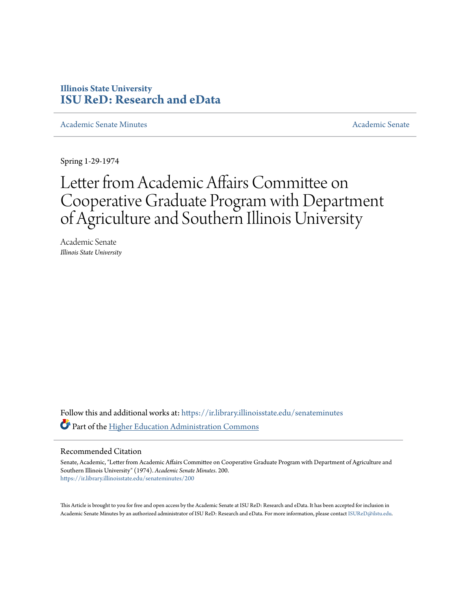## **Illinois State University [ISU ReD: Research and eData](https://ir.library.illinoisstate.edu?utm_source=ir.library.illinoisstate.edu%2Fsenateminutes%2F200&utm_medium=PDF&utm_campaign=PDFCoverPages)**

[Academic Senate Minutes](https://ir.library.illinoisstate.edu/senateminutes?utm_source=ir.library.illinoisstate.edu%2Fsenateminutes%2F200&utm_medium=PDF&utm_campaign=PDFCoverPages) [Academic Senate](https://ir.library.illinoisstate.edu/senate?utm_source=ir.library.illinoisstate.edu%2Fsenateminutes%2F200&utm_medium=PDF&utm_campaign=PDFCoverPages) Academic Senate

Spring 1-29-1974

## Letter from Academic Affairs Committee on Cooperative Graduate Program with Department of Agriculture and Southern Illinois University

Academic Senate *Illinois State University*

Follow this and additional works at: [https://ir.library.illinoisstate.edu/senateminutes](https://ir.library.illinoisstate.edu/senateminutes?utm_source=ir.library.illinoisstate.edu%2Fsenateminutes%2F200&utm_medium=PDF&utm_campaign=PDFCoverPages) Part of the [Higher Education Administration Commons](http://network.bepress.com/hgg/discipline/791?utm_source=ir.library.illinoisstate.edu%2Fsenateminutes%2F200&utm_medium=PDF&utm_campaign=PDFCoverPages)

## Recommended Citation

Senate, Academic, "Letter from Academic Affairs Committee on Cooperative Graduate Program with Department of Agriculture and Southern Illinois University" (1974). *Academic Senate Minutes*. 200. [https://ir.library.illinoisstate.edu/senateminutes/200](https://ir.library.illinoisstate.edu/senateminutes/200?utm_source=ir.library.illinoisstate.edu%2Fsenateminutes%2F200&utm_medium=PDF&utm_campaign=PDFCoverPages)

This Article is brought to you for free and open access by the Academic Senate at ISU ReD: Research and eData. It has been accepted for inclusion in Academic Senate Minutes by an authorized administrator of ISU ReD: Research and eData. For more information, please contact [ISUReD@ilstu.edu.](mailto:ISUReD@ilstu.edu)